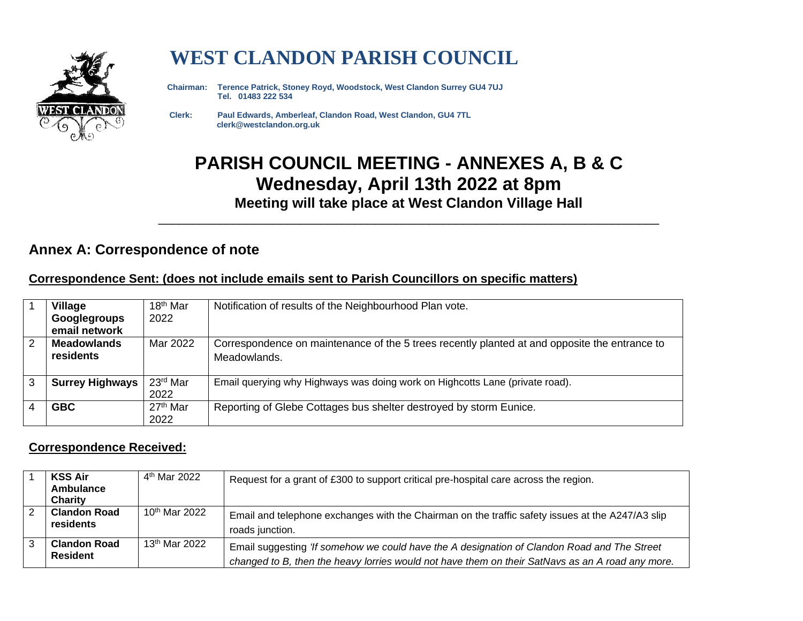

# **WEST CLANDON PARISH COUNCIL**

 **Chairman: Terence Patrick, Stoney Royd, Woodstock, West Clandon Surrey GU4 7UJ Tel. 01483 222 534** 

 **Clerk: Paul Edwards, Amberleaf, Clandon Road, West Clandon, GU4 7TL clerk@westclandon.org.uk**

## **PARISH COUNCIL MEETING - ANNEXES A, B & C Wednesday, April 13th 2022 at 8pm Meeting will take place at West Clandon Village Hall**

\_\_\_\_\_\_\_\_\_\_\_\_\_\_\_\_\_\_\_\_\_\_\_\_\_\_\_\_\_\_\_\_\_\_\_\_\_\_\_\_\_\_\_\_\_\_\_\_\_\_\_\_\_\_\_\_\_\_\_\_\_\_\_\_\_\_\_\_\_\_\_\_\_\_

### **Annex A: Correspondence of note**

#### **Correspondence Sent: (does not include emails sent to Parish Councillors on specific matters)**

|   | <b>Village</b>         | 18 <sup>th</sup> Mar | Notification of results of the Neighbourhood Plan vote.                                       |  |
|---|------------------------|----------------------|-----------------------------------------------------------------------------------------------|--|
|   | Googlegroups           | 2022                 |                                                                                               |  |
|   | email network          |                      |                                                                                               |  |
| 2 | <b>Meadowlands</b>     | Mar 2022             | Correspondence on maintenance of the 5 trees recently planted at and opposite the entrance to |  |
|   | residents              |                      | Meadowlands.                                                                                  |  |
|   |                        |                      |                                                                                               |  |
| 3 | <b>Surrey Highways</b> | 23rd Mar             | Email querying why Highways was doing work on Highcotts Lane (private road).                  |  |
|   |                        | 2022                 |                                                                                               |  |
|   | <b>GBC</b>             | 27 <sup>th</sup> Mar | Reporting of Glebe Cottages bus shelter destroyed by storm Eunice.                            |  |
|   |                        | 2022                 |                                                                                               |  |

#### **Correspondence Received:**

| <b>KSS Air</b><br>Ambulance<br>Charity | 4 <sup>th</sup> Mar 2022  | Request for a grant of £300 to support critical pre-hospital care across the region.                                                                                                            |
|----------------------------------------|---------------------------|-------------------------------------------------------------------------------------------------------------------------------------------------------------------------------------------------|
| <b>Clandon Road</b><br>residents       | 10 <sup>th</sup> Mar 2022 | Email and telephone exchanges with the Chairman on the traffic safety issues at the A247/A3 slip<br>roads junction.                                                                             |
| <b>Clandon Road</b><br><b>Resident</b> | 13 <sup>th</sup> Mar 2022 | Email suggesting 'If somehow we could have the A designation of Clandon Road and The Street<br>changed to B, then the heavy lorries would not have them on their SatNavs as an A road any more. |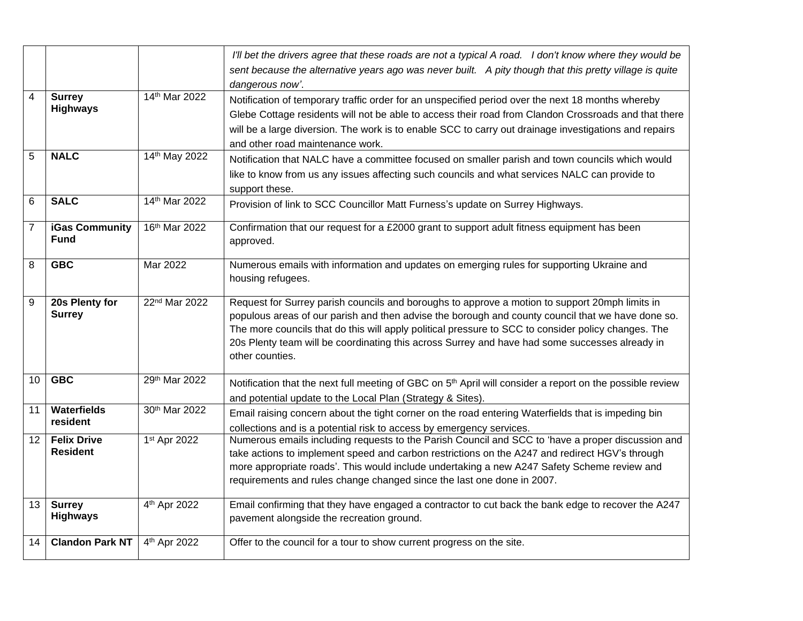|                 |                                       |                          | I'll bet the drivers agree that these roads are not a typical A road. I don't know where they would be<br>sent because the alternative years ago was never built. A pity though that this pretty village is quite<br>dangerous now'.                                                                                                                                                                                            |
|-----------------|---------------------------------------|--------------------------|---------------------------------------------------------------------------------------------------------------------------------------------------------------------------------------------------------------------------------------------------------------------------------------------------------------------------------------------------------------------------------------------------------------------------------|
| $\overline{4}$  | <b>Surrey</b><br><b>Highways</b>      | 14th Mar 2022            | Notification of temporary traffic order for an unspecified period over the next 18 months whereby<br>Glebe Cottage residents will not be able to access their road from Clandon Crossroads and that there<br>will be a large diversion. The work is to enable SCC to carry out drainage investigations and repairs<br>and other road maintenance work.                                                                          |
| 5               | <b>NALC</b>                           | 14th May 2022            | Notification that NALC have a committee focused on smaller parish and town councils which would<br>like to know from us any issues affecting such councils and what services NALC can provide to<br>support these.                                                                                                                                                                                                              |
| 6               | <b>SALC</b>                           | 14th Mar 2022            | Provision of link to SCC Councillor Matt Furness's update on Surrey Highways.                                                                                                                                                                                                                                                                                                                                                   |
| $\overline{7}$  | <b>iGas Community</b><br><b>Fund</b>  | 16th Mar 2022            | Confirmation that our request for a £2000 grant to support adult fitness equipment has been<br>approved.                                                                                                                                                                                                                                                                                                                        |
| 8               | <b>GBC</b>                            | Mar 2022                 | Numerous emails with information and updates on emerging rules for supporting Ukraine and<br>housing refugees.                                                                                                                                                                                                                                                                                                                  |
| 9               | 20s Plenty for<br><b>Surrey</b>       | 22nd Mar 2022            | Request for Surrey parish councils and boroughs to approve a motion to support 20mph limits in<br>populous areas of our parish and then advise the borough and county council that we have done so.<br>The more councils that do this will apply political pressure to SCC to consider policy changes. The<br>20s Plenty team will be coordinating this across Surrey and have had some successes already in<br>other counties. |
| 10              | <b>GBC</b>                            | 29th Mar 2022            | Notification that the next full meeting of GBC on 5 <sup>th</sup> April will consider a report on the possible review<br>and potential update to the Local Plan (Strategy & Sites).                                                                                                                                                                                                                                             |
| 11              | Waterfields<br>resident               | 30th Mar 2022            | Email raising concern about the tight corner on the road entering Waterfields that is impeding bin<br>collections and is a potential risk to access by emergency services.                                                                                                                                                                                                                                                      |
| 12 <sup>°</sup> | <b>Felix Drive</b><br><b>Resident</b> | 1st Apr 2022             | Numerous emails including requests to the Parish Council and SCC to 'have a proper discussion and<br>take actions to implement speed and carbon restrictions on the A247 and redirect HGV's through<br>more appropriate roads'. This would include undertaking a new A247 Safety Scheme review and<br>requirements and rules change changed since the last one done in 2007.                                                    |
| 13              | <b>Surrey</b><br><b>Highways</b>      | 4 <sup>th</sup> Apr 2022 | Email confirming that they have engaged a contractor to cut back the bank edge to recover the A247<br>pavement alongside the recreation ground.                                                                                                                                                                                                                                                                                 |
| 14              | <b>Clandon Park NT</b>                | 4 <sup>th</sup> Apr 2022 | Offer to the council for a tour to show current progress on the site.                                                                                                                                                                                                                                                                                                                                                           |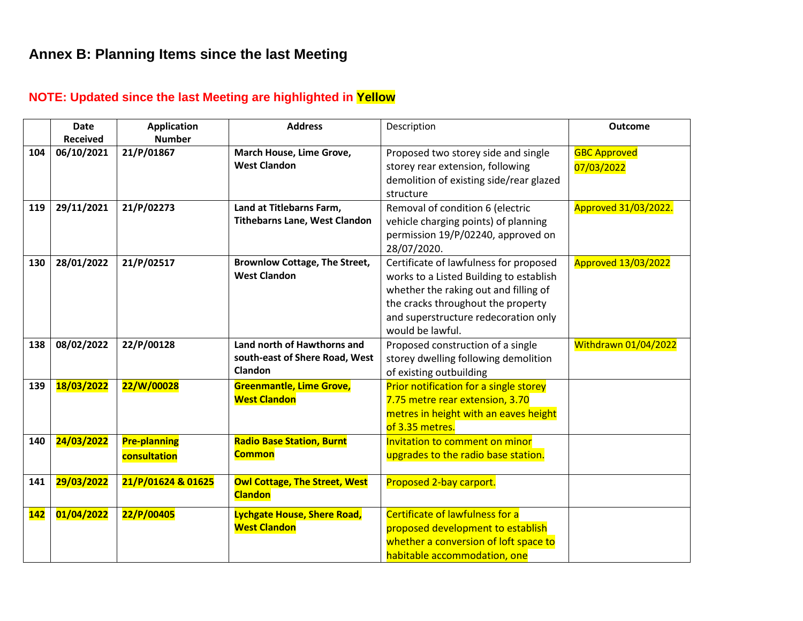### **Annex B: Planning Items since the last Meeting**

### **NOTE: Updated since the last Meeting are highlighted in Yellow**

|            | <b>Date</b><br><b>Received</b> | <b>Application</b><br><b>Number</b> | <b>Address</b>                       | Description                             | <b>Outcome</b>              |
|------------|--------------------------------|-------------------------------------|--------------------------------------|-----------------------------------------|-----------------------------|
|            |                                |                                     |                                      |                                         |                             |
| 104        | 06/10/2021                     | 21/P/01867                          | March House, Lime Grove,             | Proposed two storey side and single     | <b>GBC Approved</b>         |
|            |                                |                                     | <b>West Clandon</b>                  | storey rear extension, following        | 07/03/2022                  |
|            |                                |                                     |                                      | demolition of existing side/rear glazed |                             |
|            |                                |                                     |                                      | structure                               |                             |
| 119        | 29/11/2021                     | 21/P/02273                          | Land at Titlebarns Farm,             | Removal of condition 6 (electric        | Approved 31/03/2022.        |
|            |                                |                                     | <b>Tithebarns Lane, West Clandon</b> | vehicle charging points) of planning    |                             |
|            |                                |                                     |                                      | permission 19/P/02240, approved on      |                             |
|            |                                |                                     |                                      | 28/07/2020.                             |                             |
| 130        | 28/01/2022                     | 21/P/02517                          | <b>Brownlow Cottage, The Street,</b> | Certificate of lawfulness for proposed  | <b>Approved 13/03/2022</b>  |
|            |                                |                                     | <b>West Clandon</b>                  | works to a Listed Building to establish |                             |
|            |                                |                                     |                                      | whether the raking out and filling of   |                             |
|            |                                |                                     |                                      | the cracks throughout the property      |                             |
|            |                                |                                     |                                      |                                         |                             |
|            |                                |                                     |                                      | and superstructure redecoration only    |                             |
|            |                                |                                     |                                      | would be lawful.                        |                             |
| 138        | 08/02/2022                     | 22/P/00128                          | Land north of Hawthorns and          | Proposed construction of a single       | <b>Withdrawn 01/04/2022</b> |
|            |                                |                                     | south-east of Shere Road, West       | storey dwelling following demolition    |                             |
|            |                                |                                     | Clandon                              | of existing outbuilding                 |                             |
| 139        | 18/03/2022                     | 22/W/00028                          | <b>Greenmantle, Lime Grove,</b>      | Prior notification for a single storey  |                             |
|            |                                |                                     | <b>West Clandon</b>                  | 7.75 metre rear extension, 3.70         |                             |
|            |                                |                                     |                                      | metres in height with an eaves height   |                             |
|            |                                |                                     |                                      | of 3.35 metres.                         |                             |
| 140        | 24/03/2022                     | <b>Pre-planning</b>                 | <b>Radio Base Station, Burnt</b>     | Invitation to comment on minor          |                             |
|            |                                | consultation                        | <b>Common</b>                        | upgrades to the radio base station.     |                             |
|            |                                |                                     |                                      |                                         |                             |
| 141        | 29/03/2022                     | 21/P/01624 & 01625                  | <b>Owl Cottage, The Street, West</b> | Proposed 2-bay carport.                 |                             |
|            |                                |                                     | <b>Clandon</b>                       |                                         |                             |
| <b>142</b> | 01/04/2022                     | 22/P/00405                          | <b>Lychgate House, Shere Road,</b>   | Certificate of lawfulness for a         |                             |
|            |                                |                                     | <b>West Clandon</b>                  | proposed development to establish       |                             |
|            |                                |                                     |                                      | whether a conversion of loft space to   |                             |
|            |                                |                                     |                                      | habitable accommodation, one            |                             |